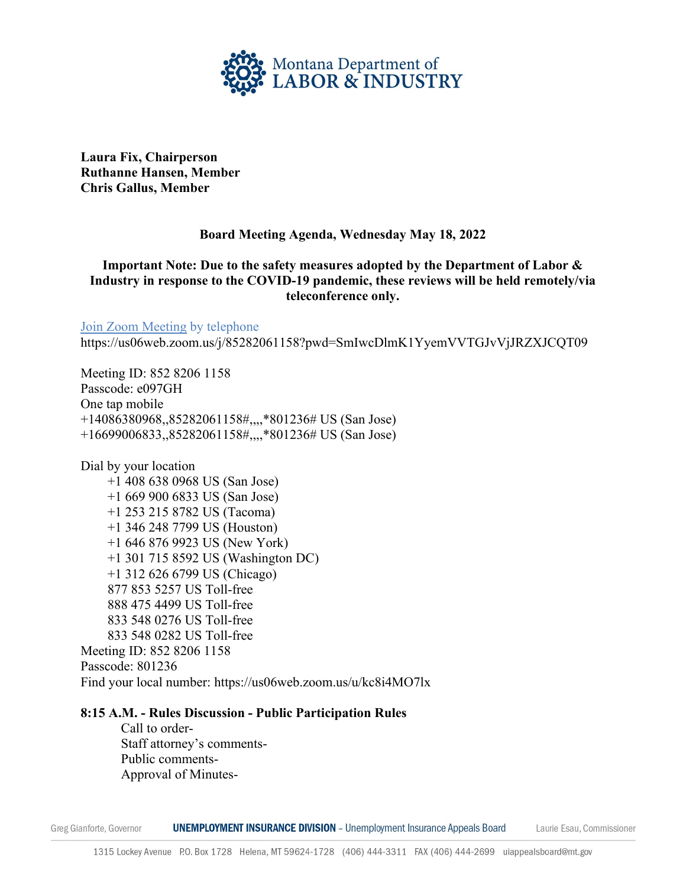

**Laura Fix, Chairperson Ruthanne Hansen, Member Chris Gallus, Member** 

### **Board Meeting Agenda, Wednesday May 18, 2022**

# **Important Note: Due to the safety measures adopted by the Department of Labor & Industry in response to the COVID-19 pandemic, these reviews will be held remotely/via teleconference only.**

[Join Zoom Meeting](https://rtchelena.mt.gov/meet/slambert/3Y7KK8VD) by telephone https://us06web.zoom.us/j/85282061158?pwd=SmIwcDlmK1YyemVVTGJvVjJRZXJCQT09

Meeting ID: 852 8206 1158 Passcode: e097GH One tap mobile +14086380968,,85282061158#,,,,\*801236# US (San Jose) +16699006833,,85282061158#,,,,\*801236# US (San Jose)

Dial by your location +1 408 638 0968 US (San Jose) +1 669 900 6833 US (San Jose) +1 253 215 8782 US (Tacoma) +1 346 248 7799 US (Houston) +1 646 876 9923 US (New York) +1 301 715 8592 US (Washington DC) +1 312 626 6799 US (Chicago) 877 853 5257 US Toll-free 888 475 4499 US Toll-free 833 548 0276 US Toll-free 833 548 0282 US Toll-free Meeting ID: 852 8206 1158 Passcode: 801236 Find your local number: https://us06web.zoom.us/u/kc8i4MO7lx

#### **8:15 A.M. - Rules Discussion - Public Participation Rules**

Call to order-Staff attorney's comments-Public comments- Approval of Minutes-

**UNEMPLOYMENT INSURANCE DIVISION** - Unemployment Insurance Appeals Board Greg Gianforte, Governor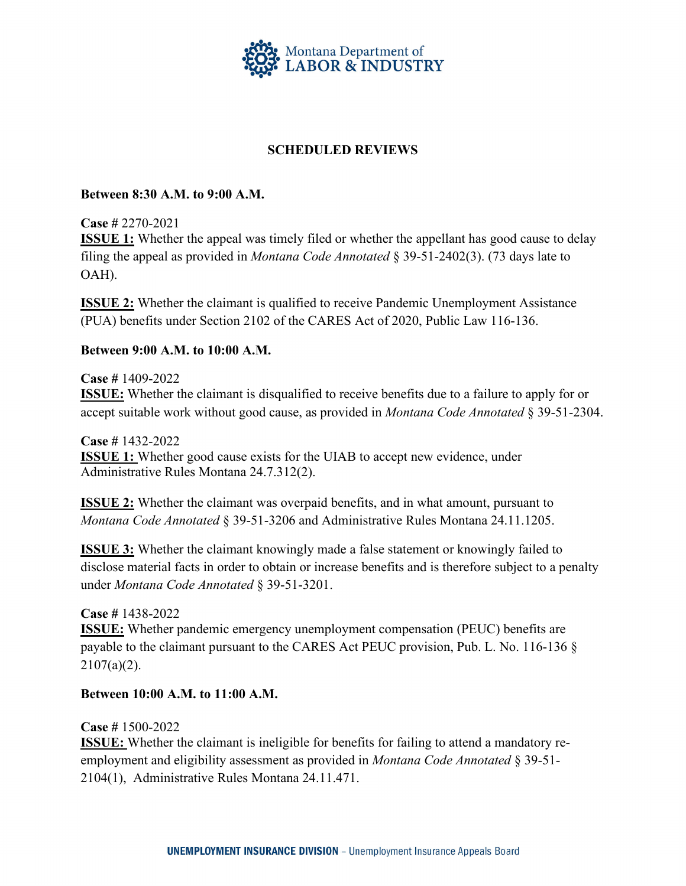

### **SCHEDULED REVIEWS**

#### **Between 8:30 A.M. to 9:00 A.M.**

**Case #** 2270-2021

**ISSUE 1:** Whether the appeal was timely filed or whether the appellant has good cause to delay filing the appeal as provided in *Montana Code Annotated* § 39-51-2402(3). (73 days late to OAH).

**ISSUE 2:** Whether the claimant is qualified to receive Pandemic Unemployment Assistance (PUA) benefits under Section 2102 of the CARES Act of 2020, Public Law 116-136.

#### **Between 9:00 A.M. to 10:00 A.M.**

**Case #** 1409-2022 **ISSUE:** Whether the claimant is disqualified to receive benefits due to a failure to apply for or accept suitable work without good cause, as provided in *Montana Code Annotated* § 39-51-2304.

**Case #** 1432-2022 **ISSUE 1:** Whether good cause exists for the UIAB to accept new evidence, under Administrative Rules Montana 24.7.312(2).

**ISSUE 2:** Whether the claimant was overpaid benefits, and in what amount, pursuant to *Montana Code Annotated* § 39-51-3206 and Administrative Rules Montana 24.11.1205.

**ISSUE 3:** Whether the claimant knowingly made a false statement or knowingly failed to disclose material facts in order to obtain or increase benefits and is therefore subject to a penalty under *Montana Code Annotated* § 39-51-3201.

**Case #** 1438-2022

**ISSUE:** Whether pandemic emergency unemployment compensation (PEUC) benefits are payable to the claimant pursuant to the CARES Act PEUC provision, Pub. L. No. 116-136 §  $2107(a)(2)$ .

**Between 10:00 A.M. to 11:00 A.M.** 

**Case #** 1500-2022

**ISSUE:** Whether the claimant is ineligible for benefits for failing to attend a mandatory reemployment and eligibility assessment as provided in *Montana Code Annotated* § 39-51- 2104(1),Administrative Rules Montana 24.11.471.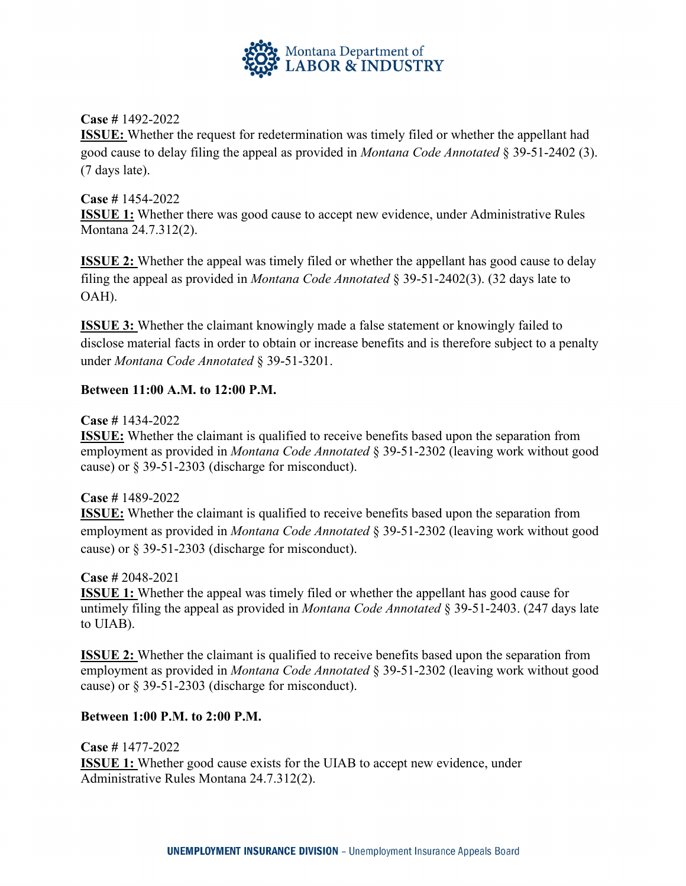

**Case #** 1492-2022

**ISSUE:** Whether the request for redetermination was timely filed or whether the appellant had good cause to delay filing the appeal as provided in *Montana Code Annotated* § 39-51-2402 (3). (7 days late).

# **Case #** 1454-2022 **ISSUE 1:** Whether there was good cause to accept new evidence, under Administrative Rules Montana 24.7.312(2).

**ISSUE 2:** Whether the appeal was timely filed or whether the appellant has good cause to delay filing the appeal as provided in *Montana Code Annotated* § 39-51-2402(3). (32 days late to OAH).

**ISSUE 3:** Whether the claimant knowingly made a false statement or knowingly failed to disclose material facts in order to obtain or increase benefits and is therefore subject to a penalty under *Montana Code Annotated* § 39-51-3201.

# **Between 11:00 A.M. to 12:00 P.M.**

**Case #** 1434-2022

**ISSUE:** Whether the claimant is qualified to receive benefits based upon the separation from employment as provided in *Montana Code Annotated* § 39-51-2302 (leaving work without good cause) or § 39-51-2303 (discharge for misconduct).

**Case #** 1489-2022

**ISSUE:** Whether the claimant is qualified to receive benefits based upon the separation from employment as provided in *Montana Code Annotated* § 39-51-2302 (leaving work without good cause) or § 39-51-2303 (discharge for misconduct).

**Case #** 2048-2021

**ISSUE 1:** Whether the appeal was timely filed or whether the appellant has good cause for untimely filing the appeal as provided in *Montana Code Annotated* § 39-51-2403. (247 days late to UIAB).

**ISSUE 2:** Whether the claimant is qualified to receive benefits based upon the separation from employment as provided in *Montana Code Annotated* § 39-51-2302 (leaving work without good cause) or § 39-51-2303 (discharge for misconduct).

# **Between 1:00 P.M. to 2:00 P.M.**

**Case #** 1477-2022 **ISSUE 1:** Whether good cause exists for the UIAB to accept new evidence, under Administrative Rules Montana 24.7.312(2).